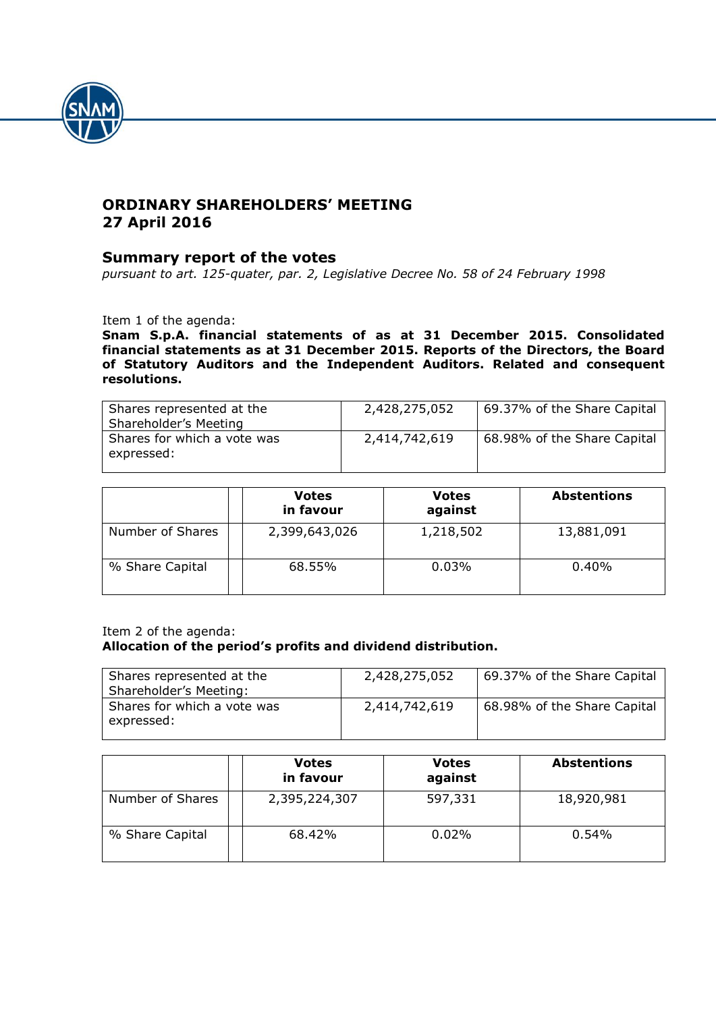

# **ORDINARY SHAREHOLDERS' MEETING 27 April 2016**

# **Summary report of the votes**

*pursuant to art. 125-quater, par. 2, Legislative Decree No. 58 of 24 February 1998*

Item 1 of the agenda:

**Snam S.p.A. financial statements of as at 31 December 2015. Consolidated financial statements as at 31 December 2015. Reports of the Directors, the Board of Statutory Auditors and the Independent Auditors. Related and consequent resolutions.**

| Shares represented at the<br>Shareholder's Meeting | 2,428,275,052 | 69.37% of the Share Capital |
|----------------------------------------------------|---------------|-----------------------------|
| Shares for which a vote was<br>expressed:          | 2,414,742,619 | 68.98% of the Share Capital |

|                  | <b>Votes</b><br>in favour | <b>Votes</b><br>against | <b>Abstentions</b> |
|------------------|---------------------------|-------------------------|--------------------|
| Number of Shares | 2,399,643,026             | 1,218,502               | 13,881,091         |
| % Share Capital  | 68.55%                    | 0.03%                   | $0.40\%$           |

### Item 2 of the agenda: **Allocation of the period's profits and dividend distribution.**

| Shares represented at the<br>Shareholder's Meeting: | 2,428,275,052 | 69.37% of the Share Capital |
|-----------------------------------------------------|---------------|-----------------------------|
| Shares for which a vote was<br>expressed:           | 2,414,742,619 | 68.98% of the Share Capital |

|                  | <b>Votes</b><br>in favour | <b>Votes</b><br>against | <b>Abstentions</b> |
|------------------|---------------------------|-------------------------|--------------------|
| Number of Shares | 2,395,224,307             | 597,331                 | 18,920,981         |
| % Share Capital  | 68.42%                    | 0.02%                   | 0.54%              |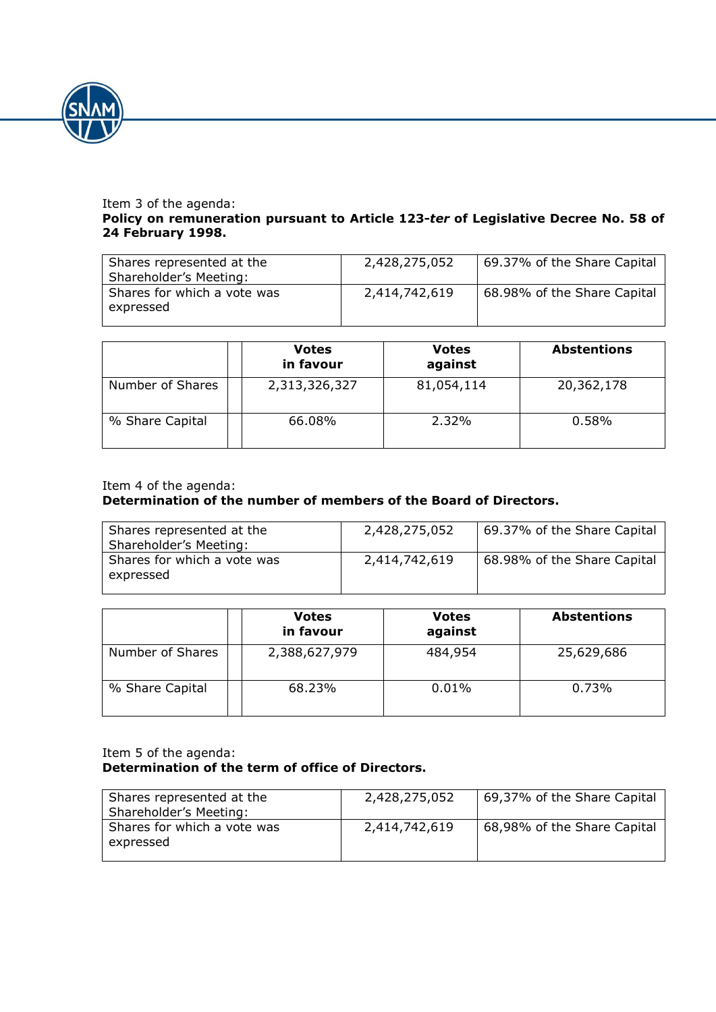

#### Item 3 of the agenda: **Policy on remuneration pursuant to Article 123-***ter* **of Legislative Decree No. 58 of 24 February 1998.**

| Shares represented at the<br>Shareholder's Meeting: | 2,428,275,052 | 69.37% of the Share Capital |
|-----------------------------------------------------|---------------|-----------------------------|
| Shares for which a vote was<br>expressed            | 2,414,742,619 | 68.98% of the Share Capital |

|                  | <b>Votes</b><br>in favour | <b>Votes</b><br>against | <b>Abstentions</b> |
|------------------|---------------------------|-------------------------|--------------------|
| Number of Shares | 2,313,326,327             | 81,054,114              | 20,362,178         |
| % Share Capital  | 66.08%                    | 2.32%                   | 0.58%              |

### Item 4 of the agenda:

# **Determination of the number of members of the Board of Directors.**

| Shares represented at the<br>Shareholder's Meeting: | 2,428,275,052 | 69.37% of the Share Capital |
|-----------------------------------------------------|---------------|-----------------------------|
| Shares for which a vote was<br>expressed            | 2,414,742,619 | 68.98% of the Share Capital |

|                  | <b>Votes</b><br>in favour | <b>Votes</b><br>against | <b>Abstentions</b> |
|------------------|---------------------------|-------------------------|--------------------|
| Number of Shares | 2,388,627,979             | 484,954                 | 25,629,686         |
| % Share Capital  | 68.23%                    | 0.01%                   | 0.73%              |

#### Item 5 of the agenda: **Determination of the term of office of Directors.**

| Shares represented at the<br>Shareholder's Meeting: | 2,428,275,052 | 69,37% of the Share Capital |
|-----------------------------------------------------|---------------|-----------------------------|
| Shares for which a vote was<br>expressed            | 2,414,742,619 | 68,98% of the Share Capital |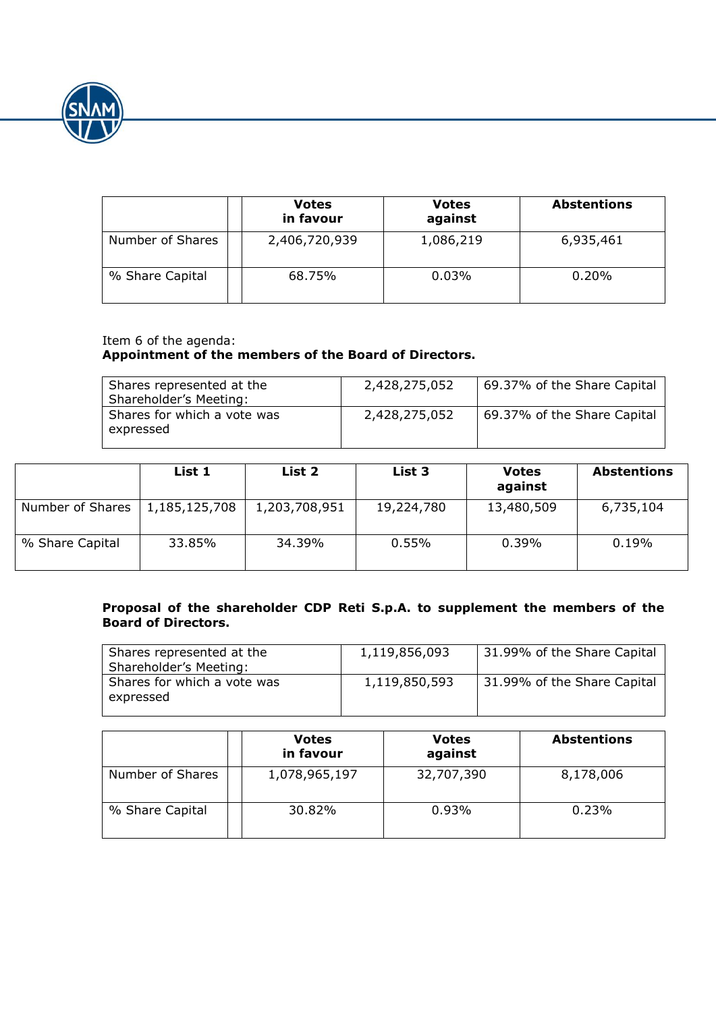

|                  | <b>Votes</b><br>in favour | <b>Votes</b><br>against | <b>Abstentions</b> |
|------------------|---------------------------|-------------------------|--------------------|
| Number of Shares | 2,406,720,939             | 1,086,219               | 6,935,461          |
| % Share Capital  | 68.75%                    | 0.03%                   | $0.20\%$           |

# Item 6 of the agenda: **Appointment of the members of the Board of Directors.**

| Shares represented at the<br>Shareholder's Meeting: | 2,428,275,052 | 69.37% of the Share Capital |
|-----------------------------------------------------|---------------|-----------------------------|
| Shares for which a vote was<br>expressed            | 2,428,275,052 | 69.37% of the Share Capital |

|                  | List 1        | List 2        | List 3     | <b>Votes</b><br>against | <b>Abstentions</b> |
|------------------|---------------|---------------|------------|-------------------------|--------------------|
| Number of Shares | 1,185,125,708 | 1,203,708,951 | 19,224,780 | 13,480,509              | 6,735,104          |
| % Share Capital  | 33.85%        | 34.39%        | 0.55%      | $0.39\%$                | 0.19%              |

## **Proposal of the shareholder CDP Reti S.p.A. to supplement the members of the Board of Directors.**

| Shares represented at the<br>Shareholder's Meeting: | 1,119,856,093 | 31.99% of the Share Capital |
|-----------------------------------------------------|---------------|-----------------------------|
| Shares for which a vote was<br>expressed            | 1,119,850,593 | 31.99% of the Share Capital |

|                  | <b>Votes</b><br>in favour | <b>Votes</b><br>against | <b>Abstentions</b> |
|------------------|---------------------------|-------------------------|--------------------|
| Number of Shares | 1,078,965,197             | 32,707,390              | 8,178,006          |
| % Share Capital  | 30.82%                    | 0.93%                   | 0.23%              |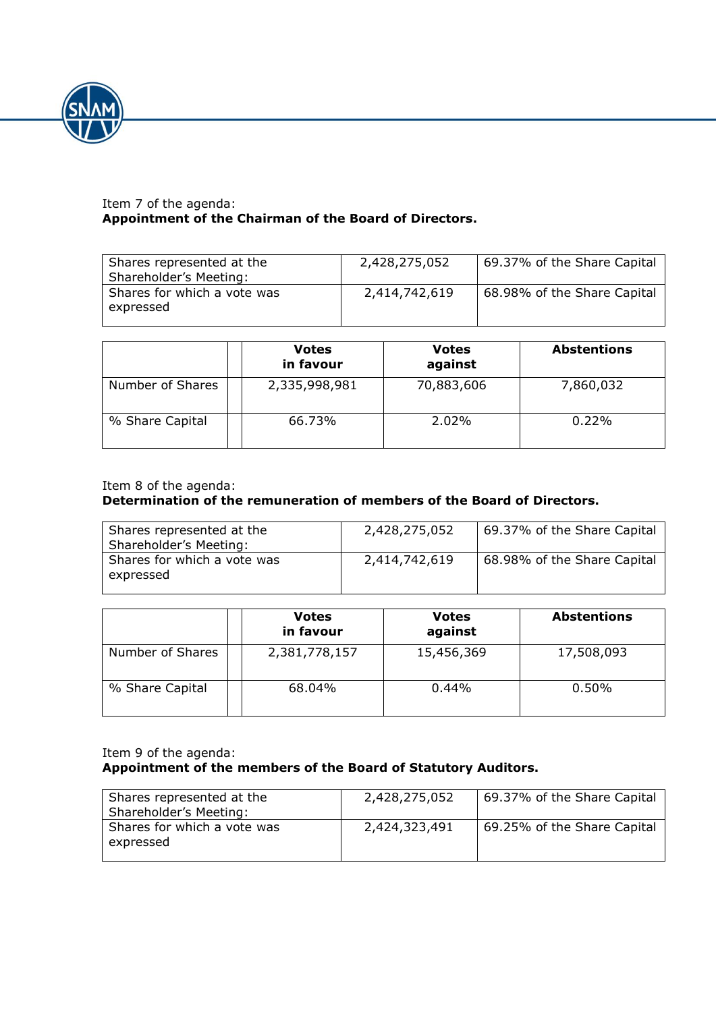

### Item 7 of the agenda: **Appointment of the Chairman of the Board of Directors.**

| Shares represented at the<br>Shareholder's Meeting: | 2,428,275,052 | 69.37% of the Share Capital |
|-----------------------------------------------------|---------------|-----------------------------|
| Shares for which a vote was<br>expressed            | 2,414,742,619 | 68.98% of the Share Capital |

|                  | <b>Votes</b><br>in favour | <b>Votes</b><br>against | <b>Abstentions</b> |
|------------------|---------------------------|-------------------------|--------------------|
| Number of Shares | 2,335,998,981             | 70,883,606              | 7,860,032          |
| % Share Capital  | 66.73%                    | $2.02\%$                | $0.22\%$           |

# Item 8 of the agenda:

# **Determination of the remuneration of members of the Board of Directors.**

| Shares represented at the<br>Shareholder's Meeting: | 2,428,275,052 | 69.37% of the Share Capital |
|-----------------------------------------------------|---------------|-----------------------------|
| Shares for which a vote was<br>expressed            | 2,414,742,619 | 68.98% of the Share Capital |

|                  | <b>Votes</b><br>in favour | <b>Votes</b><br>against | <b>Abstentions</b> |
|------------------|---------------------------|-------------------------|--------------------|
| Number of Shares | 2,381,778,157             | 15,456,369              | 17,508,093         |
| % Share Capital  | 68.04%                    | $0.44\%$                | $0.50\%$           |

### Item 9 of the agenda: **Appointment of the members of the Board of Statutory Auditors.**

| Shares represented at the<br>Shareholder's Meeting: | 2,428,275,052 | 69.37% of the Share Capital |
|-----------------------------------------------------|---------------|-----------------------------|
| Shares for which a vote was<br>expressed            | 2,424,323,491 | 69.25% of the Share Capital |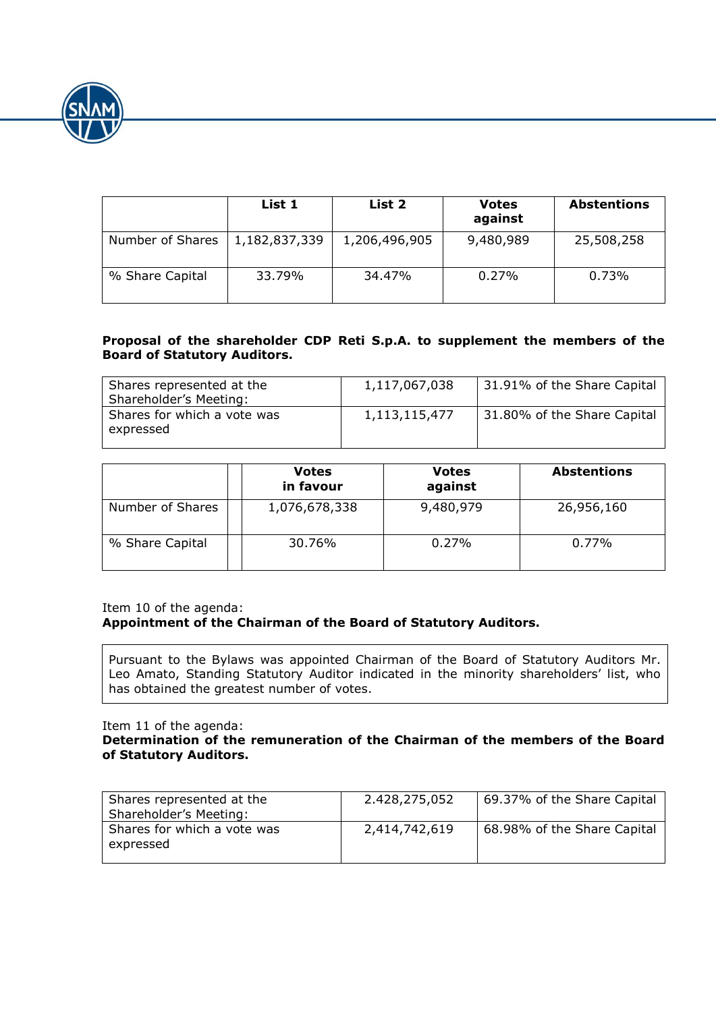

|                  | List 1        | List 2        | <b>Votes</b><br>against | <b>Abstentions</b> |
|------------------|---------------|---------------|-------------------------|--------------------|
| Number of Shares | 1,182,837,339 | 1,206,496,905 | 9,480,989               | 25,508,258         |
| % Share Capital  | 33.79%        | 34.47%        | 0.27%                   | 0.73%              |

## **Proposal of the shareholder CDP Reti S.p.A. to supplement the members of the Board of Statutory Auditors.**

| Shares represented at the<br>Shareholder's Meeting: | 1,117,067,038 | 31.91% of the Share Capital |
|-----------------------------------------------------|---------------|-----------------------------|
| Shares for which a vote was<br>expressed            | 1,113,115,477 | 31.80% of the Share Capital |

|                  | <b>Votes</b><br>in favour | <b>Votes</b><br>against | <b>Abstentions</b> |
|------------------|---------------------------|-------------------------|--------------------|
| Number of Shares | 1,076,678,338             | 9,480,979               | 26,956,160         |
| % Share Capital  | 30.76%                    | 0.27%                   | 0.77%              |

Item 10 of the agenda:

# **Appointment of the Chairman of the Board of Statutory Auditors.**

Pursuant to the Bylaws was appointed Chairman of the Board of Statutory Auditors Mr. Leo Amato, Standing Statutory Auditor indicated in the minority shareholders' list, who has obtained the greatest number of votes.

Item 11 of the agenda:

#### **Determination of the remuneration of the Chairman of the members of the Board of Statutory Auditors.**

| Shares represented at the<br>Shareholder's Meeting: | 2.428,275,052 | 69.37% of the Share Capital |
|-----------------------------------------------------|---------------|-----------------------------|
| Shares for which a vote was<br>expressed            | 2,414,742,619 | 68.98% of the Share Capital |